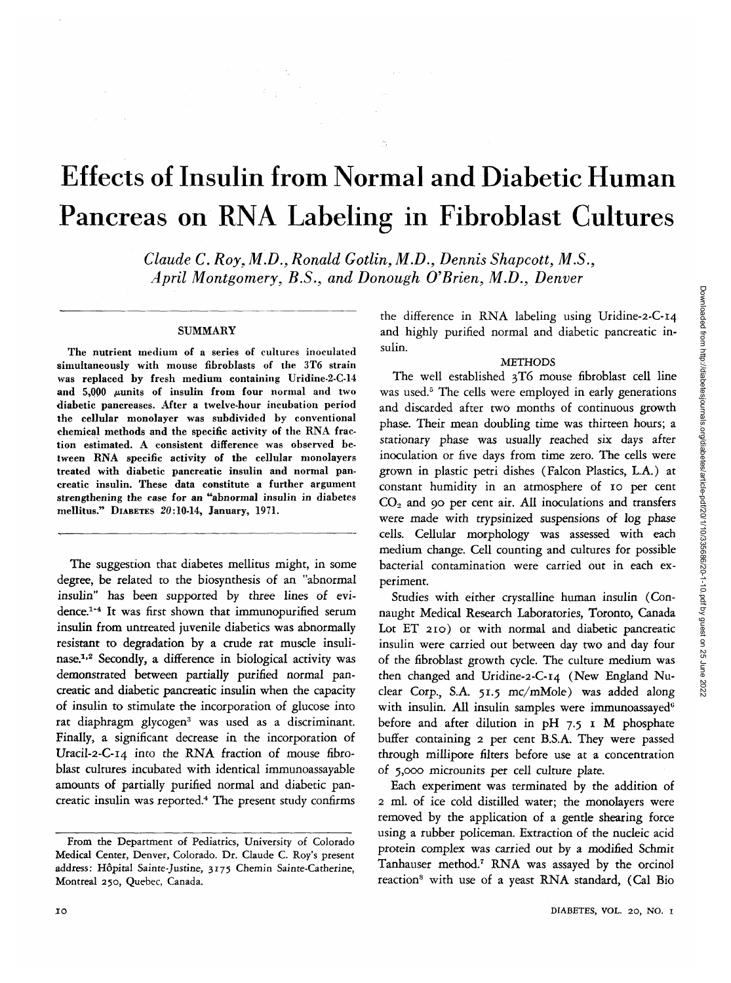# Effects of Insulin from Normal and Diabetic Human Pancreas on RNA Labeling in Fibroblast Cultures

*Claude C. Roy, M.D., Ronald Gotlin, M.D., Dennis Shapcott, M.S., April Montgomery, B.S., and Donough O'Brien, M.D., Denver*

## SUMMARY

The nutrient medium of a series of cultures inoculated simultaneously with mouse fibroblasts of the 3T6 strain was replaced by fresh medium containing Uridine-2-C-14 and  $5,000$   $\mu$ units of insulin from four normal and two diabetic pancreases. After a twelve-hour incubation period the cellular monolayer was subdivided by conventional chemical methods and the specific activity of the RNA fraction estimated. A consistent difference was observed between RNA specific activity of the cellular monolayers treated with diabetic pancreatic insulin and normal pancreatic insulin. These data constitute a further argument strengthening the case for an "abnormal insulin in diabetes mellitus." DIABETES 20:10-14, January, 1971.

The suggestion that diabetes mellitus might, in some degree, be related to the biosynthesis of an "abnormal insulin" has been supported by three lines of evidence.<sup>1-4</sup> It was first shown that immunopurified serum insulin from untreated juvenile diabetics was abnormally resistant to degradation by a crude rat muscle insulinase.<sup>1,2</sup> Secondly, a difference in biological activity was demonstrated between partially purified normal pancreatic and diabetic pancreatic insulin when the capacity of insulin to stimulate the incorporation of glucose into rat diaphragm glycogen<sup>3</sup> was used as a discriminant. Finally, a significant decrease in the incorporation of Uracil-2-C-i4 into the RNA fraction of mouse fibroblast cultures incubated with identical immunoassayable amounts of partially purified normal and diabetic pancreatic insulin was reported.4 The present study confirms

and highly purified normal and diabetic pancreatic insulin. **METHODS** 

the difference in RNA labeling using Uridine-2-C-i4

The well established 3T6 mouse fibroblast cell line was used.<sup>5</sup> The cells were employed in early generations and discarded after two months of continuous growth phase. Their mean doubling time was thirteen hours; a stationary phase was usually reached six days after inoculation or five days from time zero. The cells were grown in plastic petri dishes (Falcon Plastics, LA.) at constant humidity in an atmosphere of 10 per cent  $CO<sub>2</sub>$  and 90 per cent air. All inoculations and transfers were made with trypsinized suspensions of log phase cells. Cellular morphology was assessed with each medium change. Cell counting and cultures for possible bacterial contamination were carried out in each experiment.

Studies with either crystalline human insulin (Connaught Medical Research Laboratories, Toronto, Canada Lot ET 210) or with normal and diabetic pancreatic insulin were carried out between day two and day four of the fibroblast growth cycle. The culture medium was then changed and Uridine-2-C-i4 (New England Nuclear Corp., S.A. 51.5 mc/mMole) was added along with insulin. All insulin samples were immunoassayed<sup>6</sup> before and after dilution in pH 7.5 1 M phosphate buffer containing 2 per cent B.S.A. They were passed through millipore filters before use at a concentration of 5,000 microunits per cell culture plate.

Each experiment was terminated by the addition of 2 ml. of ice cold distilled water; the monolayers were removed by the application of a gentle shearing force using a rubber policeman. Extraction of the nucleic acid protein complex was carried out by a modified Schmit Tanhauser method.<sup>7</sup> RNA was assayed by the orcinol reaction<sup>8</sup> with use of a yeast RNA standard, (Cal Bio

From the Department of Pediatrics, University of Colorado Medical Center, Denver, Colorado. Dr. Claude C. Roy's present address: Hôpital Sainte-Justine, 3175 Chemin Sainte-Catherine, Montreal 250, Quebec, Canada.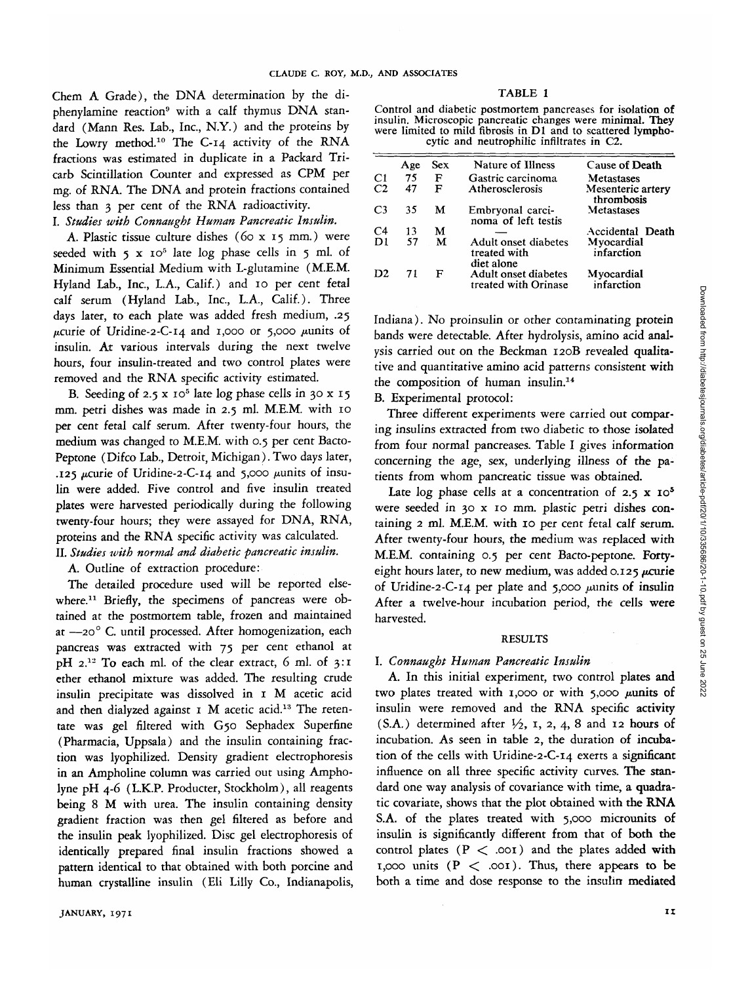Chem A Grade), the DNA determination by the diphenylamine reaction<sup>9</sup> with a calf thymus DNA standard (Mann Res. Lab., Inc., N.Y.) and the proteins by the Lowry method.10 The C-14 activity of the RNA fractions was estimated in duplicate in a Packard Tricarb Scintillation Counter and expressed as CPM per mg. of RNA. The DNA and protein fractions contained less than 3 per cent of the RNA radioactivity.

I. *Studies with Connaugbt Human Pancreatic Insulin.*

A. Plastic tissue culture dishes (60 x 15 mm.) were seeded with 5 x 10<sup>5</sup> late log phase cells in 5 ml. of Minimum Essential Medium with L-glutamine (M.E.M. Hyland Lab., Inc., L.A., Calif.) and 10 per cent fetal calf serum (Hyland Lab., Inc., L.A., Calif.). Three days later, to each plate was added fresh medium, .25  $\mu$ curie of Uridine-2-C-14 and 1,000 or 5,000  $\mu$ units of insulin. At various intervals during the next twelve hours, four insulin-treated and two control plates were removed and the RNA specific activity estimated.

B. Seeding of 2.5 x  $10^5$  late log phase cells in 30 x 15 mm. petri dishes was made in 2.5 ml. M.E.M. with 10 per cent fetal calf serum. After twenty-four hours, the medium was changed to M.E.M. with 0.5 per cent Bacto-Peptone (Difco Lab., Detroit, Michigan). Two days later, .125  $\mu$ curie of Uridine-2-C-14 and 5,000  $\mu$ units of insulin were added. Five control and five insulin treated plates were harvested periodically during the following twenty-four hours; they were assayed for DNA, RNA, proteins and the RNA specific activity was calculated. II. *Studies ivith normal and diabetic pancreatic insulin.*

*A.* Outline of extraction procedure:

The detailed procedure used will be reported elsewhere.<sup>11</sup> Briefly, the specimens of pancreas were obtained at the postmortem table, frozen and maintained at --20° C. until processed. After homogenization, each pancreas was extracted with 75 per cent ethanol at pH 2.<sup>12</sup> To each ml. of the clear extract, 6 ml. of 3:1 ether ethanol mixture was added. The resulting crude insulin precipitate was dissolved in 1 M acetic acid and then dialyzed against I M acetic acid.<sup>13</sup> The retentate was gel filtered with G50 Sephadex Superfine (Pharmacia, Uppsala) and the insulin containing fraction was lyophilized. Density gradient electrophoresis in an Ampholine column was carried out using Ampholyne pH 4-6 (L.K.P. Producter, Stockholm), all reagents being 8 M with urea. The insulin containing density gradient fraction was then gel filtered as before and the insulin peak lyophilized. Disc gel electrophoresis of identically prepared final insulin fractions showed a pattern identical to that obtained with both porcine and human crystalline insulin (Eli Lilly Co., Indianapolis,

## TABLE 1

Control and diabetic postmortem pancreases for isolation of insulin. Microscopic pancreatic changes were minimal. They were limited to mild fibrosis in Dl and to scattered lympho- cytic and neutrophilic infiltrates in C2.

|                | Age | Sex | Nature of Illness                                  | Cause of Death                  |
|----------------|-----|-----|----------------------------------------------------|---------------------------------|
| C1             | 75  | F   | Gastric carcinoma                                  | Metastases                      |
| C <sub>2</sub> | 47  | F   | Atherosclerosis                                    | Mesenteric artery<br>thrombosis |
| C <sub>3</sub> | 35  | м   | Embryonal carci-<br>noma of left testis            | Metastases                      |
| C <sub>4</sub> | 13  | М   |                                                    | Accidental Death                |
| D <sub>1</sub> | 57  | М   | Adult onset diabetes<br>treated with<br>diet alone | Myocardial<br>infarction        |
| D <sub>2</sub> | 71  | F   | Adult onset diabetes<br>treated with Orinase       | Myocardial<br>infarction        |

Indiana). No proinsulin or other contaminating protein bands were detectable. After hydrolysis, amino acid analysis carried out on the Beckman 120B revealed qualitative and quantitative amino acid patterns consistent with the composition of human insulin.14

B. Experimental protocol:

Three different experiments were carried out comparing insulins extracted from two diabetic to those isolated from four normal pancreases. Table I gives information concerning the age, sex, underlying illness of the patients from whom pancreatic tissue was obtained.

Late log phase cells at a concentration of  $2.5 \times 10^5$ were seeded in 30 x 10 mm. plastic petri dishes containing 2 ml. M.E.M. with 10 per cent fetal calf serum. After twenty-four hours, the medium was replaced with M.E.M. containing 0.5 per cent Bacto-peptone. Fortyeight hours later, to new medium, was added 0.125 *µcurie* of Uridine-2-C-14 per plate and  $5,000$   $\mu$ units of insulin After a twelve-hour incubation period, the cells were harvested.

#### RESULTS

## I. *Connaught Human Pancreatic Insulin*

A. In this initial experiment, two control plates and two plates treated with 1,000 or with 5,000  $\mu$ units of insulin were removed and the RNA specific activity  $(S.A.)$  determined after  $\frac{1}{2}$ , 1, 2, 4, 8 and 12 hours of incubation. As seen in table 2, the duration of incubation of the cells with Uridine-2-C-i4 exerts a significant influence on all three specific activity curves. The standard one way analysis of covariance with time, a quadratic covariate, shows that the plot obtained with the RNA S.A. of the plates treated with 5,000 microunits of insulin is significantly different from that of both the control plates ( $P < .001$ ) and the plates added with 1,000 units  $(P < .001)$ . Thus, there appears to be both a time and dose response to the insulin mediated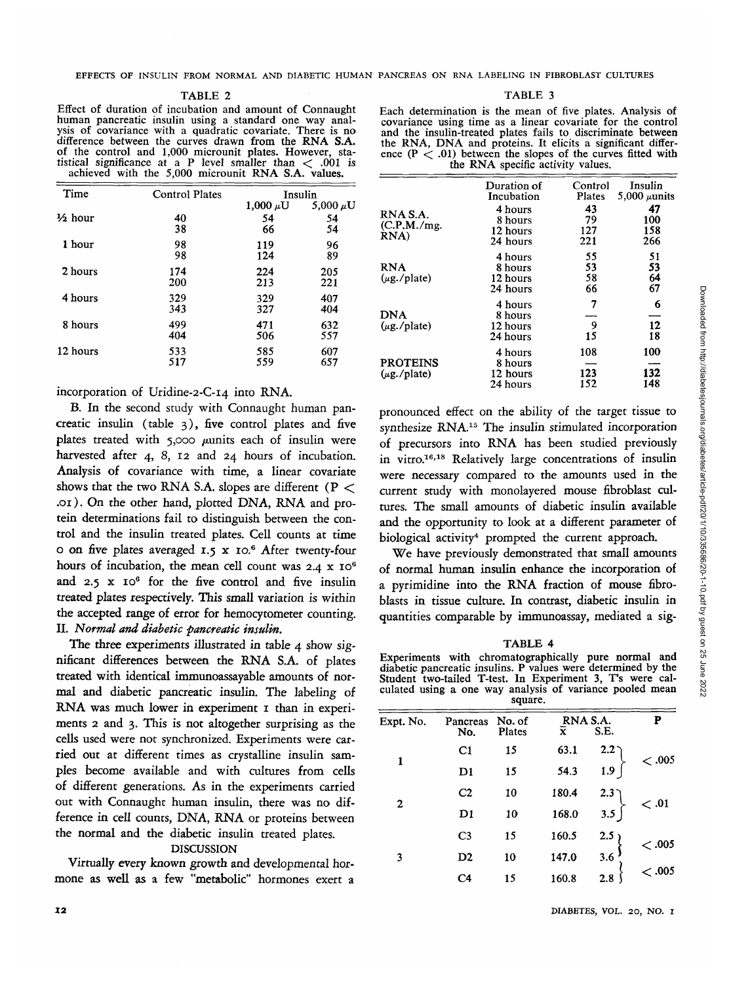## TABLE 2

Effect of duration of incubation and amount of Connaught human pancreatic insulin using a standard one way analysis of covariance with a quadratic covariate. There is no difference between the curves drawn from the RNA S.A. of the control and 1,000 microunit plates. However, statistical significance at a P level smaller than  $\lt$ 

| Time       | <b>Control Plates</b> | Insulin       |               |  |
|------------|-----------------------|---------------|---------------|--|
|            |                       | $1,000 \mu U$ | $5,000 \mu U$ |  |
| $1/2$ hour | 40                    | 54            | 54            |  |
|            | 38                    | 66            | 54            |  |
| 1 hour     | 98                    | 119           | 96            |  |
|            | 98                    | 124           | 89            |  |
| 2 hours    | 174                   | 224           | 205           |  |
|            | 200                   | 213           | 221           |  |
| 4 hours    | 329                   | 329           | 407           |  |
|            | 343                   | 327           | 404           |  |
| 8 hours    | 499                   | 471           | 632           |  |
|            | 404                   | 506           | 557           |  |
| 12 hours   | 533                   | 585           | 607           |  |
|            | 517                   | 559           | 657           |  |

# incorporation of Uridine-2-C-14 into RNA.

B. In the second study with Connaught human pancreatic insulin (table 3), five control plates and five plates treated with  $5,000$  *u*units each of insulin were harvested after 4, 8, 12 and 24 hours of incubation. Analysis of covariance with time, a linear covariate shows that the two RNA S.A. slopes are different (P  $\lt$ .01). On the other hand, plotted DNA, RNA and protein determinations fail to distinguish between the control and the insulin treated plates. Cell counts at time  $\circ$  on five plates averaged 1.5 x 10.<sup>6</sup> After twenty-four hours of incubation, the mean cell count was  $2.4 \times 10^6$ and 2.5 x 10<sup>6</sup> for the five control and five insulin treated plates respectively. This small variation is within the accepted range of error for hemocytometer counting. II. *Normal and diabetic pancreatic insulin.*

The three experiments illustrated in table 4 show significant differences between the RNA S.A. of plates treated with identical immunoassayable amounts of normal and diabetic pancreatic insulin. The labeling of RNA was much lower in experiment I than in experiments 2 and 3. This is not altogether surprising as the cells used were not synchronized. Experiments were carried out at different times as crystalline insulin samples become available and with cultures from cells of different generations. As in the experiments carried out with Connaught human insulin, there was no difference in cell counts, DNA, RNA or proteins between the normal and the diabetic insulin treated plates.

# DISCUSSION

Virtually every known growth and developmental hormone as well as a few "metabolic" hormones exert a

## TABLE 3

Each determination is the mean of five plates. Analysis of and the insulin-treated plates fails to discriminate between<br>the RNA, DNA and proteins. It elicits a significant differ-<br>ence ( $P < .01$ ) between the slopes of the curves fitted with the RNA specific activity values.

|                                     | Duration of<br>Incubation                  | Control<br>Plates      | Insulin<br>5,000 $\mu$ units |
|-------------------------------------|--------------------------------------------|------------------------|------------------------------|
| RNA S.A.<br>(C.P.M./mg.<br>RNA      | 4 hours<br>8 hours<br>12 hours<br>24 hours | 43<br>79<br>127<br>221 | 47<br>100<br>158<br>266      |
| <b>RNA</b><br>$(\mu$ g./plate)      | 4 hours<br>8 hours<br>12 hours<br>24 hours | 55<br>53<br>58<br>66   | 51<br>53<br>64<br>67         |
| <b>DNA</b><br>$(\mu$ g./plate)      | 4 hours<br>8 hours<br>12 hours<br>24 hours | 7<br>9<br>15           | 6<br>12<br>18                |
| <b>PROTEINS</b><br>$(\mu$ g./plate) | 4 hours<br>8 hours<br>12 hours<br>24 hours | 108<br>123<br>152      | 100<br>132<br>148            |

pronounced effect on the ability of the target tissue to synthesize RNA.<sup>15</sup> The insulin stimulated incorporation of precursors into RNA has been studied previously in vitro.<sup>16,18</sup> Relatively large concentrations of insulin were necessary compared to the amounts used in the current study with monolayered mouse fibroblast cultures. The small amounts of diabetic insulin available and the opportunity to look at a different parameter of biological activity<sup>4</sup> prompted the current approach.

We have previously demonstrated that small amounts of normal human insulin enhance the incorporation of a pyrimidine into the RNA fraction of mouse fibroblasts in tissue culture. In contrast, diabetic insulin in quantities comparable by immunoassay, mediated a sig-

TABLE 4

Experiments with chromatographically pure normal and diabetic pancreatic insulins. P values were determined by the Student two-tailed T-test. In Experiment 3, T's were cal- culated using a one way analysis of variance pooled mean square.

|              |                 | oquus v.         |                    |                  |          |
|--------------|-----------------|------------------|--------------------|------------------|----------|
| Expt. No.    | Pancreas<br>No. | No. of<br>Plates | $\bar{\mathbf{x}}$ | RNA S.A.<br>S.E. | P        |
|              | C <sub>1</sub>  | 15               | 63.1               | 2.2              |          |
| 1            | D1              | 15               | 54.3               | 1.9              | < .005   |
|              | C <sub>2</sub>  | 10               | 180.4              | 2.3              |          |
| $\mathbf{2}$ | D1              | 10               | 168.0              | 3.5              | < .01    |
|              | C <sub>3</sub>  | 15               | 160.5              | 2.5              |          |
| 3            | D2              | 10               | 147.0              | 3.6              | < .005   |
|              | C4              | 15               | 160.8              | 2.8              | $<$ .005 |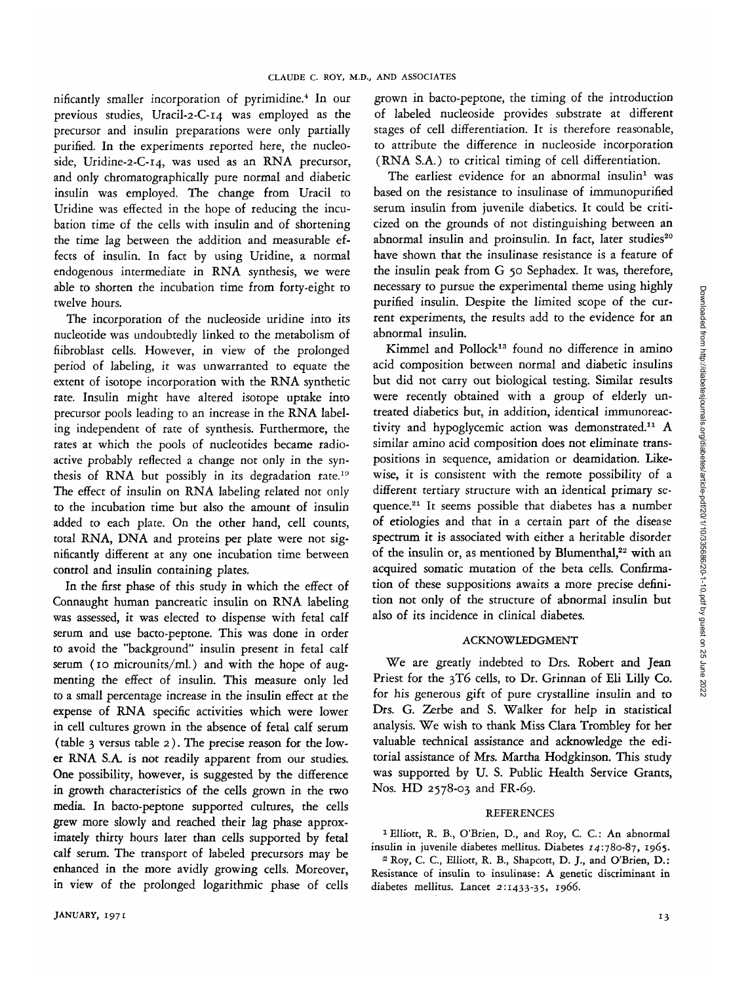nificantly smaller incorporation of pyrimidine.<sup>4</sup> In our previous studies, Uracil-2-C-i4 was employed as the precursor and insulin preparations were only partially purified. In the experiments reported here, the nucleoside, Uridine-2-C-i4, was used as an RNA precursor, and only chromatographically pure normal and diabetic insulin was employed. The change from Uracil to Uridine was effected in the hope of reducing the incubation time of the cells with insulin and of shortening the time lag between the addition and measurable effects of insulin. In fact by using Uridine, a normal endogenous intermediate in RNA synthesis, we were able to shorten the incubation time from forty-eight to twelve hours.

The incorporation of the nucleoside uridine into its nucleotide was undoubtedly linked to the metabolism of flibroblast cells. However, in view of the prolonged period of labeling, it was unwarranted to equate the extent of isotope incorporation with the RNA synthetic rate. Insulin might have altered isotope uptake into precursor pools leading to an increase in the RNA labeling independent of rate of synthesis. Furthermore, the rates at which the pools of nucleotides became radioactive probably reflected a change not only in the synthesis of RNA but possibly in its degradation rate.<sup>19</sup> The effect of insulin on RNA labeling related not only to the incubation time but also the amount of insulin added to each plate. On the other hand, cell counts, total RNA, DNA and proteins per plate were not significantly different at any one incubation time between control and insulin containing plates.

In the first phase of this study in which the effect of Connaught human pancreatic insulin on RNA labeling was assessed, it was elected to dispense with fetal calf serum and use bacto -peptone. This was done in order to avoid the "background" insulin present in fetal calf serum (10 microunits/ml.) and with the hope of augmenting the effect of insulin. This measure only led to a small percentage increase in the insulin effect at the expense of RNA specific activities which were lower in cell cultures grown in the absence of fetal calf serum (table 3 versus table 2). The precise reason for the lower RNA S.A. is not readily apparent from our studies. One possibility, however, is suggested by the difference in growth characteristics of the cells grown in the two media. In bacto-peptone supported cultures, the cells grew more slowly and reached their lag phase approximately thirty hours later than cells supported by fetal calf serum. The transport of labeled precursors may be enhanced in the more avidly growing cells. Moreover, in view of the prolonged logarithmic phase of cells

grown in bacto-peptone, the timing of the introduction of labeled nucleoside provides substrate at different stages of cell differentiation. It is therefore reasonable, to attribute the difference in nucleoside incorporation (RNA S.A.) to critical timing of cell differentiation.

The earliest evidence for an abnormal insulin<sup>1</sup> was based on the resistance to insulinase of immunopurified serum insulin from juvenile diabetics. It could be criticized on the grounds of not distinguishing between an abnormal insulin and proinsulin. In fact, later studies<sup>20</sup> have shown that the insulinase resistance is a feature of the insulin peak from G 50 Sephadex. It was, therefore, necessary to pursue the experimental theme using highly purified insulin. Despite the limited scope of the current experiments, the results add to the evidence for an abnormal insulin.

Kimmel and Pollock<sup>13</sup> found no difference in amino acid composition between normal and diabetic insulins but did not carry out biological testing. Similar results were recently obtained with a group of elderly untreated diabetics but, in addition, identical immunoreactivity and hypoglycemic action was demonstrated.<sup>11</sup> A similar amino acid composition does not eliminate transpositions in sequence, amidation or deamidation. Likewise, it is consistent with the remote possibility of a different tertiary structure with an identical primary sequence.<sup>21</sup> It seems possible that diabetes has a number of etiologies and that in a certain part of the disease spectrum it is associated with either a heritable disorder of the insulin or, as mentioned by Blumenthal,<sup>22</sup> with an acquired somatic mutation of the beta cells. Confirmation of these suppositions awaits a more precise definition not only of the structure of abnormal insulin but also of its incidence in clinical diabetes.

## ACKNOWLEDGMENT

We are greatly indebted to Drs. Robert and Jean Priest for the 3T6 cells, to Dr. Grinnan of Eli Lilly Co. for his generous gift of pure crystalline insulin and to Drs. G. Zerbe and S. Walker for help in statistical analysis. We wish to thank Miss Clara Trombley for her valuable technical assistance and acknowledge the editorial assistance of Mrs. Martha Hodgkinson. This study was supported by U. S. Public Health Service Grants, Nos. HD 2578-03 and FR-69.

## REFERENCES

1 Elliott, R. B., O'Brien, D., and Roy, C. C: An abnormal insulin in juvenile diabetes mellitus. Diabetes  $14:780-87$ , 1965.

 Roy, C. C, Elliott, R. B., Shapcott, D. *J.,* and O'Brien, D.: Resistance of insulin to insulinase: A genetic discriminant in diabetes mellitus. Lancet 2:1433-35, 1966.